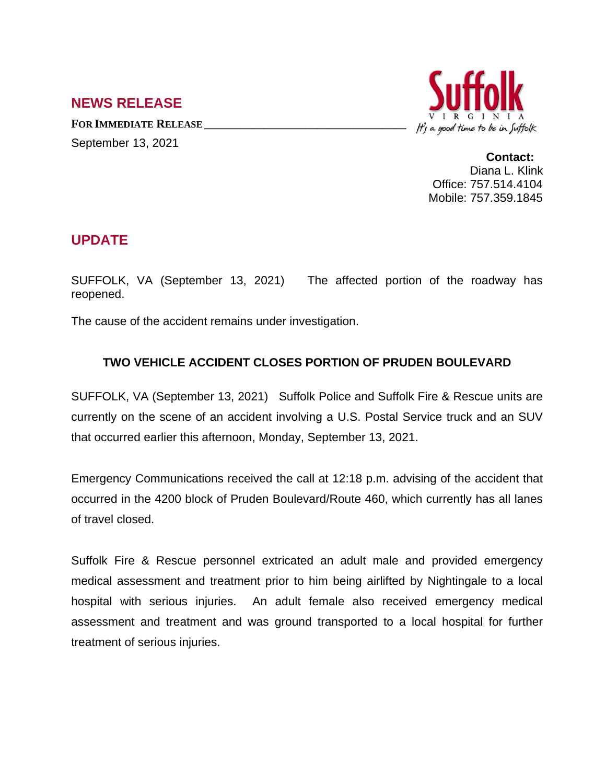## **NEWS RELEASE**

**FOR IMMEDIATE RELEASE \_\_\_\_\_\_\_\_\_\_\_\_\_\_\_\_\_\_\_\_\_\_\_\_\_\_\_\_\_\_\_\_\_\_** September 13, 2021



**Contact:** Diana L. Klink Office: 757.514.4104 Mobile: 757.359.1845

## **UPDATE**

SUFFOLK, VA (September 13, 2021) The affected portion of the roadway has reopened.

The cause of the accident remains under investigation.

## **TWO VEHICLE ACCIDENT CLOSES PORTION OF PRUDEN BOULEVARD**

SUFFOLK, VA (September 13, 2021) Suffolk Police and Suffolk Fire & Rescue units are currently on the scene of an accident involving a U.S. Postal Service truck and an SUV that occurred earlier this afternoon, Monday, September 13, 2021.

Emergency Communications received the call at 12:18 p.m. advising of the accident that occurred in the 4200 block of Pruden Boulevard/Route 460, which currently has all lanes of travel closed.

Suffolk Fire & Rescue personnel extricated an adult male and provided emergency medical assessment and treatment prior to him being airlifted by Nightingale to a local hospital with serious injuries. An adult female also received emergency medical assessment and treatment and was ground transported to a local hospital for further treatment of serious injuries.